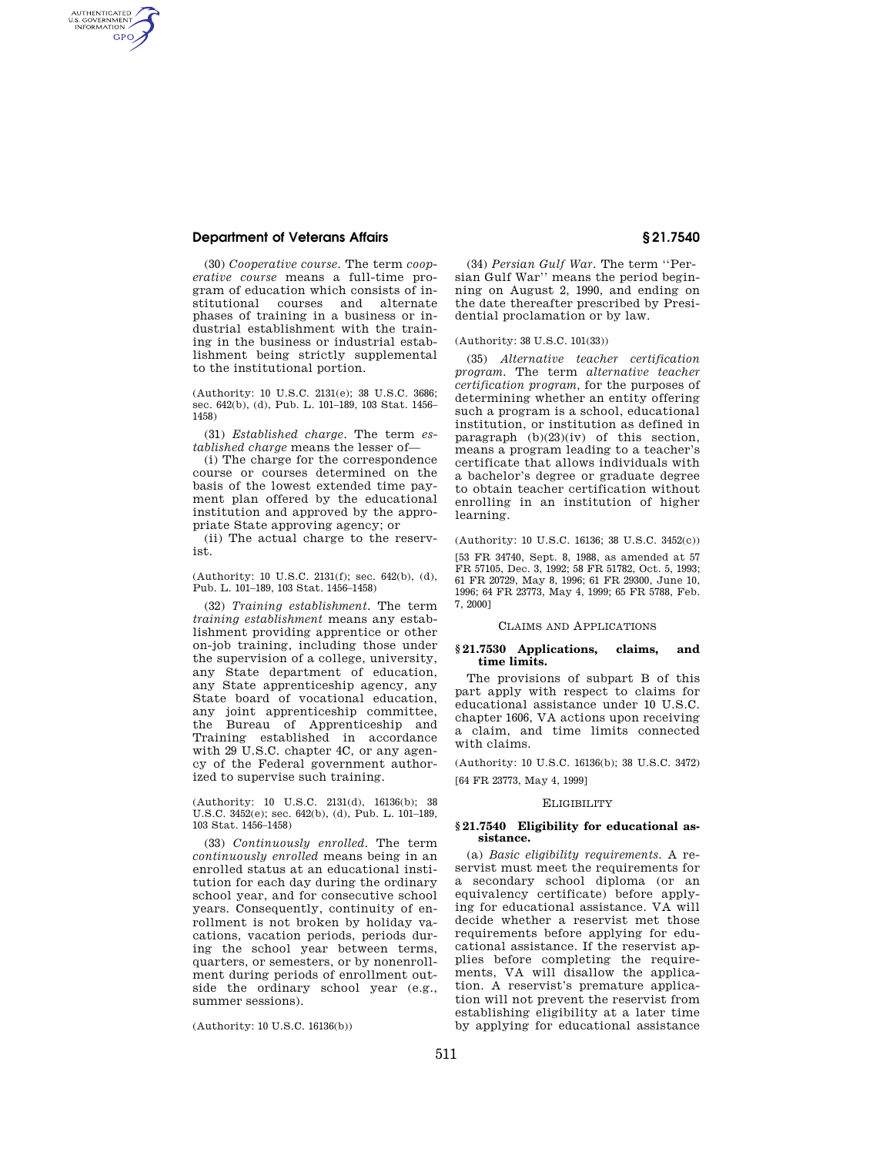# **Department of Veterans Affairs § 21.7540**

AUTHENTICATED<br>U.S. GOVERNMENT<br>INFORMATION **GPO** 

> (30) *Cooperative course.* The term *cooperative course* means a full-time program of education which consists of institutional courses and alternate phases of training in a business or industrial establishment with the training in the business or industrial establishment being strictly supplemental to the institutional portion.

> (Authority: 10 U.S.C. 2131(e); 38 U.S.C. 3686; sec. 642(b), (d), Pub. L. 101–189, 103 Stat. 1456– 1458)

> (31) *Established charge.* The term *established charge* means the lesser of—

> (i) The charge for the correspondence course or courses determined on the basis of the lowest extended time payment plan offered by the educational institution and approved by the appropriate State approving agency; or

> (ii) The actual charge to the reservist.

> (Authority: 10 U.S.C. 2131(f); sec. 642(b), (d), Pub. L. 101–189, 103 Stat. 1456–1458)

(32) *Training establishment.* The term *training establishment* means any establishment providing apprentice or other on-job training, including those under the supervision of a college, university, any State department of education, any State apprenticeship agency, any State board of vocational education, any joint apprenticeship committee, the Bureau of Apprenticeship and Training established in accordance with 29 U.S.C. chapter 4C, or any agency of the Federal government authorized to supervise such training.

(Authority: 10 U.S.C. 2131(d), 16136(b); 38 U.S.C. 3452(e); sec. 642(b), (d), Pub. L. 101–189, 103 Stat. 1456–1458)

(33) *Continuously enrolled.* The term *continuously enrolled* means being in an enrolled status at an educational institution for each day during the ordinary school year, and for consecutive school years. Consequently, continuity of enrollment is not broken by holiday vacations, vacation periods, periods during the school year between terms, quarters, or semesters, or by nonenrollment during periods of enrollment outside the ordinary school year (e.g., summer sessions).

(Authority: 10 U.S.C. 16136(b))

(34) *Persian Gulf War.* The term ''Persian Gulf War'' means the period beginning on August 2, 1990, and ending on the date thereafter prescribed by Presidential proclamation or by law.

(Authority: 38 U.S.C. 101(33))

(35) *Alternative teacher certification program.* The term *alternative teacher certification program,* for the purposes of determining whether an entity offering such a program is a school, educational institution, or institution as defined in paragraph (b)(23)(iv) of this section, means a program leading to a teacher's certificate that allows individuals with a bachelor's degree or graduate degree to obtain teacher certification without enrolling in an institution of higher learning.

(Authority: 10 U.S.C. 16136; 38 U.S.C. 3452(c))

[53 FR 34740, Sept. 8, 1988, as amended at 57 FR 57105, Dec. 3, 1992; 58 FR 51782, Oct. 5, 1993; 61 FR 20729, May 8, 1996; 61 FR 29300, June 10, 1996; 64 FR 23773, May 4, 1999; 65 FR 5788, Feb. 7, 2000]

#### CLAIMS AND APPLICATIONS

#### **§ 21.7530 Applications, claims, and time limits.**

The provisions of subpart B of this part apply with respect to claims for educational assistance under 10 U.S.C. chapter 1606, VA actions upon receiving a claim, and time limits connected with claims.

(Authority: 10 U.S.C. 16136(b); 38 U.S.C. 3472) [64 FR 23773, May 4, 1999]

#### **ELIGIBILITY**

#### **§ 21.7540 Eligibility for educational assistance.**

(a) *Basic eligibility requirements.* A reservist must meet the requirements for a secondary school diploma (or an equivalency certificate) before applying for educational assistance. VA will decide whether a reservist met those requirements before applying for educational assistance. If the reservist applies before completing the requirements, VA will disallow the application. A reservist's premature application will not prevent the reservist from establishing eligibility at a later time by applying for educational assistance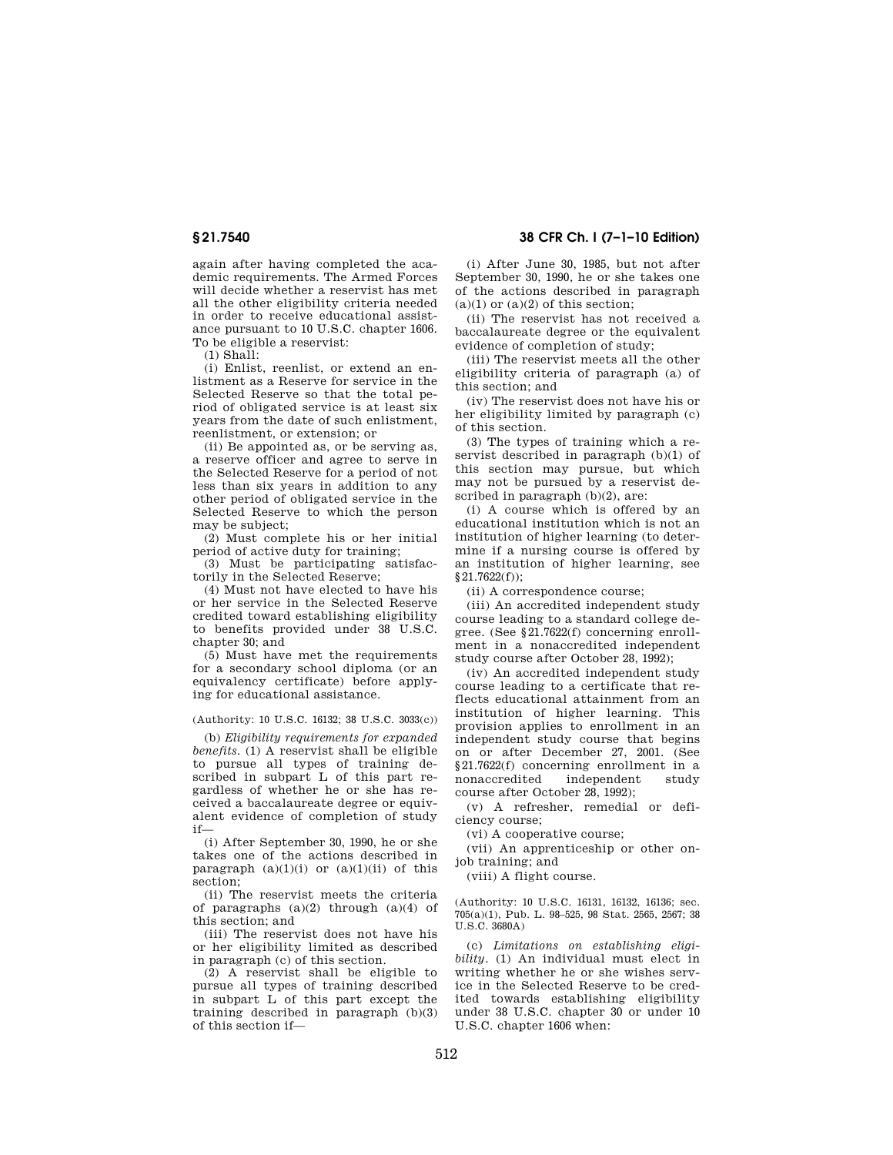again after having completed the academic requirements. The Armed Forces will decide whether a reservist has met all the other eligibility criteria needed in order to receive educational assistance pursuant to 10 U.S.C. chapter 1606. To be eligible a reservist:

(1) Shall:

(i) Enlist, reenlist, or extend an enlistment as a Reserve for service in the Selected Reserve so that the total period of obligated service is at least six years from the date of such enlistment, reenlistment, or extension; or

(ii) Be appointed as, or be serving as, a reserve officer and agree to serve in the Selected Reserve for a period of not less than six years in addition to any other period of obligated service in the Selected Reserve to which the person may be subject;

(2) Must complete his or her initial period of active duty for training;

(3) Must be participating satisfactorily in the Selected Reserve;

(4) Must not have elected to have his or her service in the Selected Reserve credited toward establishing eligibility to benefits provided under 38 U.S.C. chapter 30; and

(5) Must have met the requirements for a secondary school diploma (or an equivalency certificate) before applying for educational assistance.

(Authority: 10 U.S.C. 16132; 38 U.S.C. 3033(c))

(b) *Eligibility requirements for expanded benefits.* (1) A reservist shall be eligible to pursue all types of training described in subpart L of this part regardless of whether he or she has received a baccalaureate degree or equivalent evidence of completion of study if—

(i) After September 30, 1990, he or she takes one of the actions described in paragraph  $(a)(1)(i)$  or  $(a)(1)(ii)$  of this section;

(ii) The reservist meets the criteria of paragraphs (a)(2) through (a)(4) of this section; and

(iii) The reservist does not have his or her eligibility limited as described in paragraph (c) of this section.

(2) A reservist shall be eligible to pursue all types of training described in subpart L of this part except the training described in paragraph (b)(3) of this section if—

# **§ 21.7540 38 CFR Ch. I (7–1–10 Edition)**

(i) After June 30, 1985, but not after September 30, 1990, he or she takes one of the actions described in paragraph  $(a)(1)$  or  $(a)(2)$  of this section;

(ii) The reservist has not received a baccalaureate degree or the equivalent evidence of completion of study;

(iii) The reservist meets all the other eligibility criteria of paragraph (a) of this section; and

(iv) The reservist does not have his or her eligibility limited by paragraph (c) of this section.

(3) The types of training which a reservist described in paragraph (b)(1) of this section may pursue, but which may not be pursued by a reservist described in paragraph (b)(2), are:

(i) A course which is offered by an educational institution which is not an institution of higher learning (to determine if a nursing course is offered by an institution of higher learning, see §21.7622(f));

(ii) A correspondence course;

(iii) An accredited independent study course leading to a standard college degree. (See §21.7622(f) concerning enrollment in a nonaccredited independent study course after October 28, 1992);

(iv) An accredited independent study course leading to a certificate that reflects educational attainment from an institution of higher learning. This provision applies to enrollment in an independent study course that begins on or after December 27, 2001. (See §21.7622(f) concerning enrollment in a nonaccredited independent study course after October 28, 1992);

(v) A refresher, remedial or deficiency course;

(vi) A cooperative course;

(vii) An apprenticeship or other onjob training; and

(viii) A flight course.

(Authority: 10 U.S.C. 16131, 16132, 16136; sec. 705(a)(1), Pub. L. 98–525, 98 Stat. 2565, 2567; 38 U.S.C. 3680A)

(c) *Limitations on establishing eligibility.* (1) An individual must elect in writing whether he or she wishes service in the Selected Reserve to be credited towards establishing eligibility under 38 U.S.C. chapter 30 or under 10 U.S.C. chapter 1606 when: